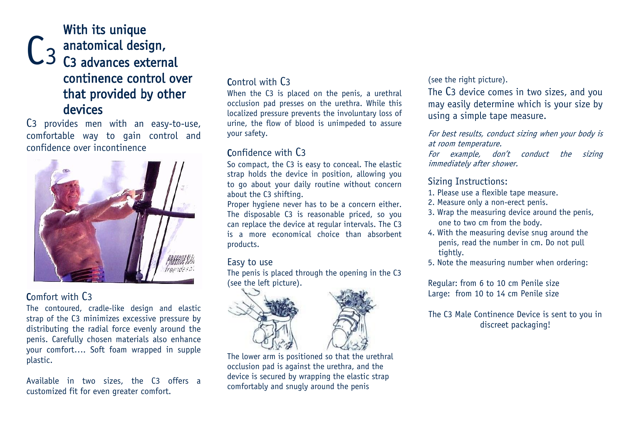## $C<sub>3</sub>$ With its unique anatomical design, C3 advances external continence control over that provided by other devices

C3 provides men with an easy-to-use, comfortable way to gain control and confidence over incontinence



### Comfort with C3

The contoured, cradle-like design and elastic strap of the C3 minimizes excessive pressure by distributing the radial force evenly around the penis. Carefully chosen materials also enhance your comfort…. Soft foam wrapped in supple plastic.

Available in two sizes, the C3 offers a customized fit for even greater comfort.

## Control with C3

When the C3 is placed on the penis, a urethral occlusion pad presses on the urethra. While this localized pressure prevents the involuntary loss of urine, the flow of blood is unimpeded to assure your safety.

## Confidence with C3

So compact, the C3 is easy to conceal. The elastic strap holds the device in position, allowing you to go about your daily routine without concern about the C3 shifting.

Proper hygiene never has to be a concern either. The disposable C3 is reasonable priced, so you can replace the device at regular intervals. The C3 is a more economical choice than absorbent products.

#### Easy to use

The penis is placed through the opening in the C3 (see the left picture).



The lower arm is positioned so that the urethral occlusion pad is against the urethra, and the device is secured by wrapping the elastic strap comfortably and snugly around the penis

#### (see the right picture).

The C3 device comes in two sizes, and you may easily determine which is your size by using a simple tape measure.

For best results, conduct sizing when your body is at room temperature.

For example, don't conduct the sizing immediately after shower.

#### Sizing Instructions:

- 1. Please use a flexible tape measure.
- 2. Measure only a non-erect penis.
- 3. Wrap the measuring device around the penis, one to two cm from the body.
- 4. With the measuring devise snug around the penis, read the number in cm. Do not pull tightly.
- 5. Note the measuring number when ordering:

Regular: from 6 to 10 cm Penile size Large: from 10 to 14 cm Penile size

The C3 Male Continence Device is sent to you in discreet packaging!